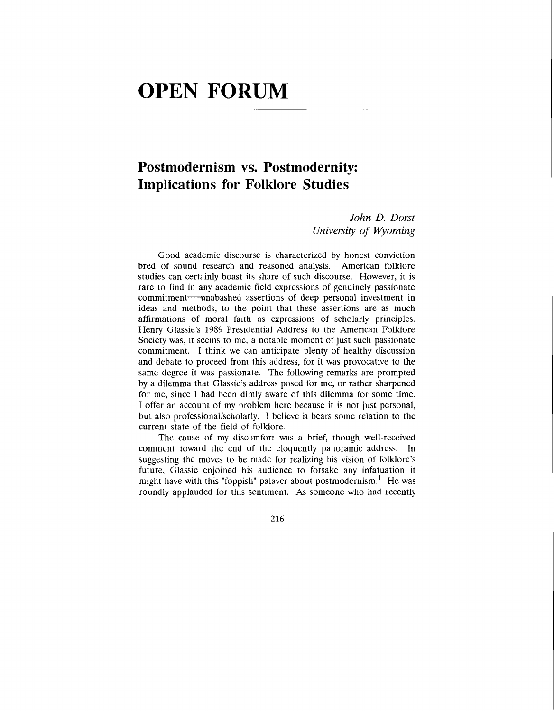## **OPEN FORUM**

## **Postmodernism vs. Postmodernity: Implications for Folklore Studies**

*John D. Dorst University of Wyoming* 

Good academic discourse is characterized by honest conviction bred of sound research and reasoned analysis. American folklore studies can certainly boast its share of such discourse. However, it is rare to find in any academic field expressions of genuinely passionate commitment-unabashed assertions of deep personal investment in ideas and methods, to the point that these assertions are as much affirmations of moral faith as expressions of scholarly principles. Henry Glassie's 1989 Presidential Address to the American Folklore Society was, it seems to me, a notable moment of just such passionate commitment. I think we can anticipate plenty of healthy discussion and debate to proceed from this address, for it was provocative to the same degree it was passionate. The following remarks are prompted by a dilemma that Glassie's address posed for me, or rather sharpened for me, since I had been dimly aware of this dilemma for some time. I offer an account of my problem here because it is not just personal, but also professional/scholarly. I believe it bears some relation to the current state of the field of folklore.

The cause of my discomfort was a brief, though well-received comment toward the end of the eloquently panoramic address. In suggesting the moves to be made for realizing his vision of folklore's future, Glassie enjoined his audience to forsake any infatuation it might have with this "foppish" palaver about postmodernism.<sup>1</sup> He was roundly applauded for this sentiment. **As** someone who had recently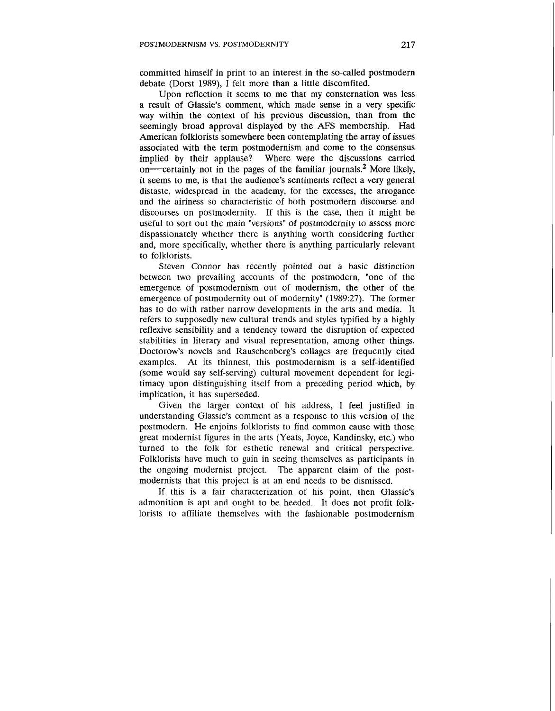committed himself in print to an interest in the so-called postmodern debate (Dorst 1989),  $\hat{I}$  felt more than a little discomfited.

Upon reflection it seems to me that my consternation was less a result of Glassie's comment, which made sense in a very specific way within the context of his previous discussion, than from the seemingly broad approval displayed by the **AFS** membership. Had American folklorists somewhere been contemplating the array of issues associated with the term postmodernism and come to the consensus implied by their applause? Where were the discussions carried on-certainly not in the pages of the familiar journals.<sup>2</sup> More likely, it seems to me, is that the audience's sentiments reflect a very general distaste, widespread in the academy, for the excesses, the arrogance and the airiness so characteristic of both postmodern discourse and discourses on postmodernity. If this is the case, then it might be useful to sort out the main "versions" of postmodernity to assess more dispassionately whether there is anything worth considering further and, more specifically, whether there is anything particularly relevant to folklorists.

Steven Connor has recently pointed out a basic distinction between two prevailing accounts of the postmodern, "one of the emergence of postmodernism out of modernism, the other of the emergence of postmodernity out of modernity" (1989:27). The former has to do with rather narrow developments in the arts and media. It refers to supposedly new cultural trends and styles typified by a highly reflexive sensibility and a tendency toward the disruption of expected stabilities in literary and visual representation, among other things. Doctorow's novels and Rauschenberg's collages are frequently cited examples. At its thinnest, this postmodernism is a self-identified (some would say self-serving) cultural movement dependent for legitimacy upon distinguishing itself from a preceding period which, by implication, it has superseded.

Given the larger context of his address, I feel justified in understanding Glassie's comment as a response to this version of the postmodern. He enjoins folklorists to find common cause with those great modernist figures in the arts (Yeats, Joyce, Kandinsky, etc.) who turned to the folk for esthetic renewal and critical perspective. Folklorists have much to gain in seeing themselves as participants in the ongoing modernist project. The apparent claim of the postmodernists that this project is at an end needs to be dismissed.

If this is a fair characterization of his point, then Glassie's admonition is apt and ought to be heeded. It does not profit folklorists to affiliate themselves with the fashionable postmodernism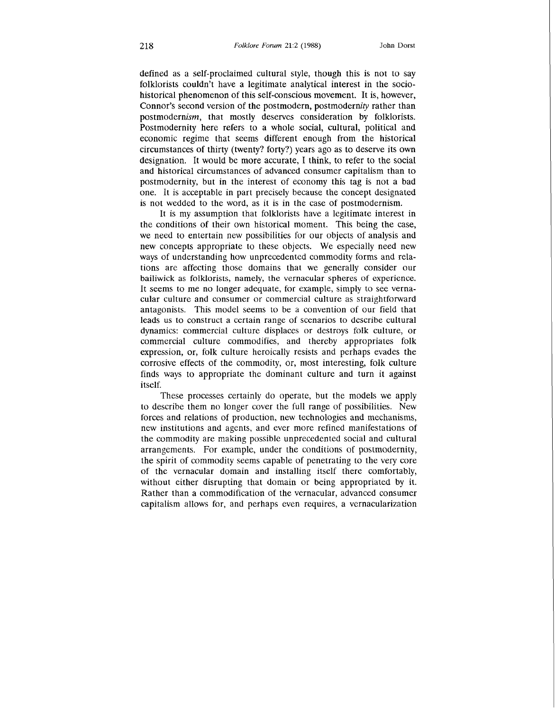defined as a self-proclaimed cultural style, though this is not to say folklorists couldn't have a legitimate analytical interest in the sociohistorical phenomenon of this self-conscious movement. It is, however, Connor's second version of the postmodern, postmodernity rather than postmodernism, that mostly deserves consideration by folklorists. Postmodernity here refers to a whole social, cultural, political and economic regime that seems different enough from the historical circumstances of thirty (twenty? forty?) years ago as to deserve its own designation. It would be more accurate, I think, to refer to the social and historical circumstances of advanced consumer capitalism than to postmodernity, but in the interest of economy this tag is not a bad one. It is acceptable in part precisely because the concept designated is not wedded to the word, as it is in the case of postmodernism.

It is my assumption that folklorists have a legitimate interest in the conditions of their own historical moment. This being the case, we need to entertain new possibilities for our objects of analysis and new concepts appropriate to these objects. We especially need new ways of understanding how unprecedented commodity forms and relations are affecting those domains that we generally consider our bailiwick as folklorists, namely, the vernacular spheres of experience. It seems to me no longer adequate, for example, simply to see vernacular culture and consumer or commercial culture as straightforward antagonists. This model seems to be a convention of our field that leads us to construct a certain range of scenarios to describe cultural dynamics: commercial culture displaces or destroys folk culture, or commercial culture commodifies, and thereby appropriates folk expression, or, folk culture heroically resists and perhaps evades the corrosive effects of the commodity, or, most interesting, folk culture finds ways to appropriate the dominant culture and turn it against itself.

These processes certainly do operate, but the models we apply to describe them no longer cover the full range of possibilities. New forces and relations of production, new technologies and mechanisms, new institutions and agents, and ever more refined manifestations of the commodity are making possible unprecedented social and cultural arrangements. For example, under the conditions of postmodernity, the spirit of commodity seems capable of penetrating to the very core of the vernacular domain and installing itself there comfortably, without either disrupting that domain or being appropriated by it. Rather than a commodification of the vernacular, advanced consumer capitalism allows for, and perhaps even requires, a vernacularization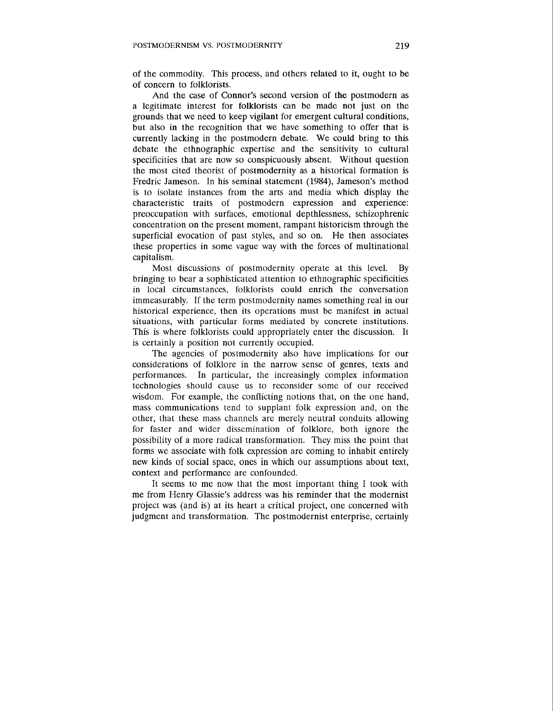of the commodity. This process, and others related to it, ought to be of concern to folklorists.

And the case of Connor's second version of the postmodern as a legitimate interest for folklorists can be made not just on the grounds that we need to keep vigilant for emergent cultural conditions, but also in the recognition that we have something to offer that is currently lacking in the postmodern debate. We could bring to this debate the ethnographic expertise and the sensitivity to cultural specificities that are now so conspicuously absent. Without question the most cited theorist of postmodernity as a historical formation is Fredric Jameson. In his seminal statement (1984), Jameson's method is to isolate instances from the arts and media which display the characteristic traits of postmodern expression and experience: preoccupation with surfaces, emotional depthlessness, schizophrenic concentration on the present moment, rampant historicism through the superficial evocation of past styles, and so on. He then associates these properties in some vague way with the forces of multinational capitalism.

Most discussions of postmodernity operate at this level. By bringing to bear a sophisticated attention to ethnographic specificities in local circumstances, folklorists could enrich the conversation immeasurably. If the term postmodernity names something real in our historical experience, then its operations must be manifest in actual situations, with particular forms mediated by concrete institutions. This is where folklorists could appropriately enter the discussion. It is certainly a position not currently occupied.

The agencies of postmodernity also have implications for our considerations of folklore in the narrow sense of genres, texts and performances. In particular, the increasingly complex information technologies should cause us to reconsider some of our received wisdom. For example, the conflicting notions that, on the one hand, mass communications tend to supplant folk expression and, on the other, that these mass channels are merely neutral conduits allowing for faster and wider dissemination of folklore, both ignore the possibility of a more radical transformation. They miss the point that forms we associate with folk expression are coming to inhabit entirely new kinds of social space, ones in which our assumptions about text, context and performance are confounded.

It seems to me now that the most important thing I took with me from Henry Glassie's address was his reminder that the modernist project was (and is) at its heart a critical project, one concerned with judgment and transformation. The postmodernist enterprise, certainly